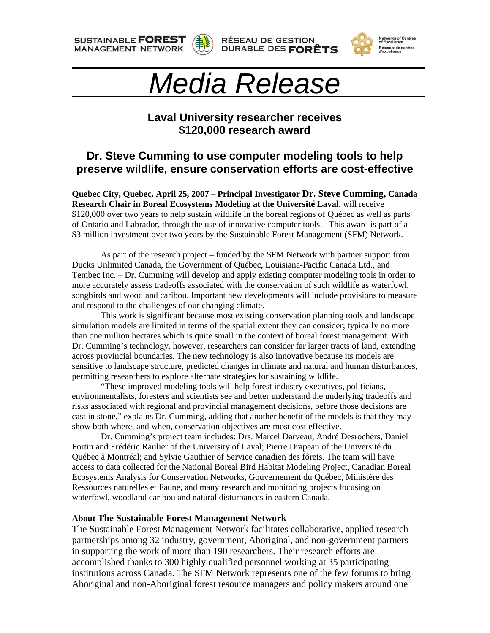**SUSTAINABLE FOREST MANAGEMENT NETWORK** 









## *Media Release*

## **Laval University researcher receives \$120,000 research award**

## **Dr. Steve Cumming to use computer modeling tools to help preserve wildlife, ensure conservation efforts are cost-effective**

**Quebec City, Quebec, April 25, 2007 – Principal Investigator Dr. Steve Cumming, Canada Research Chair in Boreal Ecosystems Modeling at the Université Laval**, will receive \$120,000 over two years to help sustain wildlife in the boreal regions of Québec as well as parts of Ontario and Labrador, through the use of innovative computer tools. This award is part of a \$3 million investment over two years by the Sustainable Forest Management (SFM) Network.

As part of the research project – funded by the SFM Network with partner support from Ducks Unlimited Canada, the Government of Québec, Louisiana-Pacific Canada Ltd., and Tembec Inc. – Dr. Cumming will develop and apply existing computer modeling tools in order to more accurately assess tradeoffs associated with the conservation of such wildlife as waterfowl, songbirds and woodland caribou. Important new developments will include provisions to measure and respond to the challenges of our changing climate.

 This work is significant because most existing conservation planning tools and landscape simulation models are limited in terms of the spatial extent they can consider; typically no more than one million hectares which is quite small in the context of boreal forest management. With Dr. Cumming's technology, however, researchers can consider far larger tracts of land, extending across provincial boundaries. The new technology is also innovative because its models are sensitive to landscape structure, predicted changes in climate and natural and human disturbances, permitting researchers to explore alternate strategies for sustaining wildlife.

"These improved modeling tools will help forest industry executives, politicians, environmentalists, foresters and scientists see and better understand the underlying tradeoffs and risks associated with regional and provincial management decisions, before those decisions are cast in stone," explains Dr. Cumming, adding that another benefit of the models is that they may show both where, and when, conservation objectives are most cost effective.

Dr. Cumming's project team includes: Drs. Marcel Darveau, André Desrochers, Daniel Fortin and Frédéric Raulier of the University of Laval; Pierre Drapeau of the Université du Québec à Montréal; and Sylvie Gauthier of Service canadien des fôrets. The team will have access to data collected for the National Boreal Bird Habitat Modeling Project, Canadian Boreal Ecosystems Analysis for Conservation Networks, Gouvernement du Québec, Ministère des Ressources naturelles et Faune, and many research and monitoring projects focusing on waterfowl, woodland caribou and natural disturbances in eastern Canada.

## **About The Sustainable Forest Management Network**

The Sustainable Forest Management Network facilitates collaborative, applied research partnerships among 32 industry, government, Aboriginal, and non-government partners in supporting the work of more than 190 researchers. Their research efforts are accomplished thanks to 300 highly qualified personnel working at 35 participating institutions across Canada. The SFM Network represents one of the few forums to bring Aboriginal and non-Aboriginal forest resource managers and policy makers around one